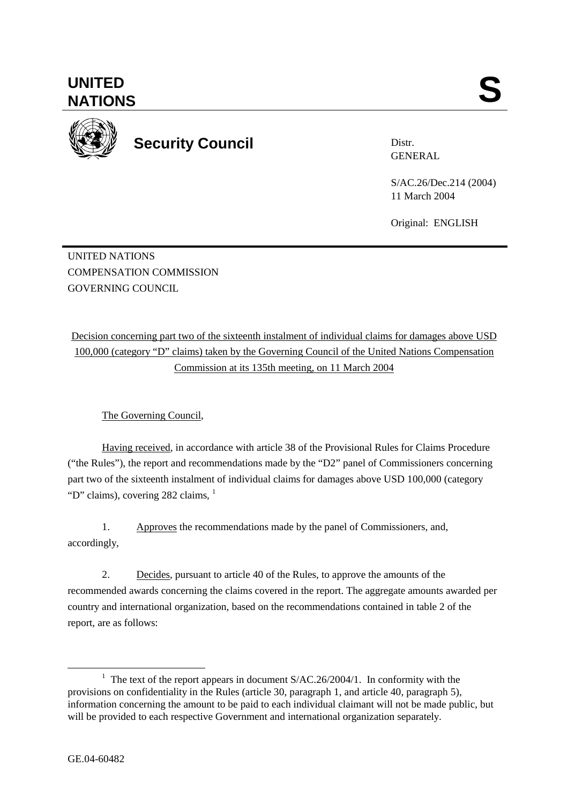The Governing Council,

Having received, in accordance with article 38 of the Provisional Rules for Claims Procedure ("the Rules"), the report and recommendations made by the "D2" panel of Commissioners concerning part two of the sixteenth instalment of individual claims for damages above USD 100,000 (category "D" claims), covering 282 claims,  $<sup>1</sup>$ </sup>

Decision concerning part two of the sixteenth instalment of individual claims for damages above USD 100,000 (category "D" claims) taken by the Governing Council of the United Nations Compensation Commission at its 135th meeting, on 11 March 2004

1. Approves the recommendations made by the panel of Commissioners, and, accordingly,

2. Decides, pursuant to article 40 of the Rules, to approve the amounts of the recommended awards concerning the claims covered in the report. The aggregate amounts awarded per country and international organization, based on the recommendations contained in table 2 of the report, are as follows:

UNITED SANTIONS



UNITED NATIONS

GOVERNING COUNCIL

COMPENSATION COMMISSION

**UNITED** 

**Security Council** 

Distr. GENERAL

S/AC.26/Dec.214 (2004) 11 March 2004

Original: ENGLISH

<sup>&</sup>lt;u>1</u> <sup>1</sup> The text of the report appears in document  $S/AC.26/2004/1$ . In conformity with the provisions on confidentiality in the Rules (article 30, paragraph 1, and article 40, paragraph 5), information concerning the amount to be paid to each individual claimant will not be made public, but will be provided to each respective Government and international organization separately.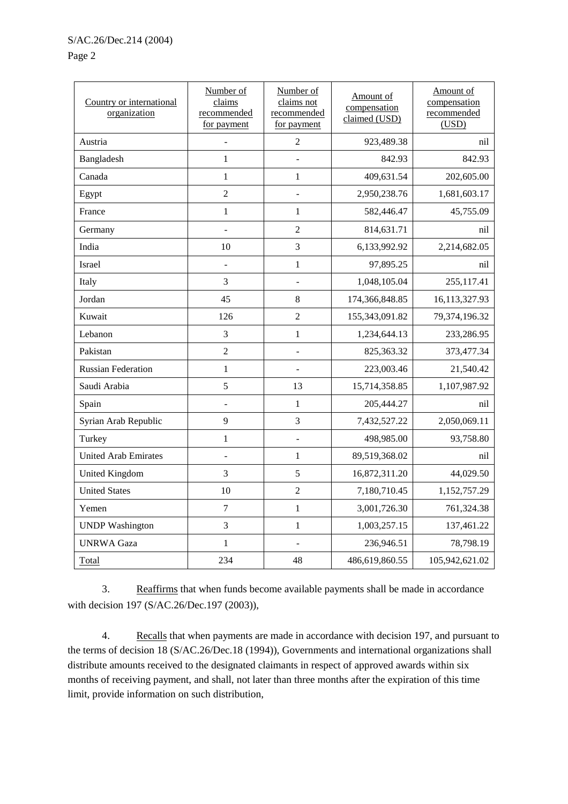Page 2

| Country or international<br>organization | Number of<br>claims<br>recommended<br>for payment | Number of<br>claims not<br>recommended<br>for payment | Amount of<br>compensation<br>claimed (USD) | Amount of<br>compensation<br>recommended<br>(USD) |
|------------------------------------------|---------------------------------------------------|-------------------------------------------------------|--------------------------------------------|---------------------------------------------------|
| Austria                                  |                                                   | $\overline{2}$                                        | 923,489.38                                 | nil                                               |
| Bangladesh                               | $\mathbf 1$                                       |                                                       | 842.93                                     | 842.93                                            |
| Canada                                   | $\mathbf{1}$                                      | $\mathbf{1}$                                          | 409,631.54                                 | 202,605.00                                        |
| Egypt                                    | $\overline{2}$                                    |                                                       | 2,950,238.76                               | 1,681,603.17                                      |
| France                                   | $\mathbf{1}$                                      | $\mathbf{1}$                                          | 582,446.47                                 | 45,755.09                                         |
| Germany                                  |                                                   | $\overline{2}$                                        | 814,631.71                                 | nil                                               |
| India                                    | 10                                                | 3                                                     | 6,133,992.92                               | 2,214,682.05                                      |
| Israel                                   | $\overline{a}$                                    | $\mathbf{1}$                                          | 97,895.25                                  | nil                                               |
| Italy                                    | 3                                                 |                                                       | 1,048,105.04                               | 255,117.41                                        |
| Jordan                                   | 45                                                | 8                                                     | 174,366,848.85                             | 16,113,327.93                                     |
| Kuwait                                   | 126                                               | $\overline{2}$                                        | 155,343,091.82                             | 79,374,196.32                                     |
| Lebanon                                  | 3                                                 | $\mathbf{1}$                                          | 1,234,644.13                               | 233,286.95                                        |
| Pakistan                                 | $\overline{2}$                                    |                                                       | 825,363.32                                 | 373,477.34                                        |
| <b>Russian Federation</b>                | $\mathbf{1}$                                      |                                                       | 223,003.46                                 | 21,540.42                                         |
| Saudi Arabia                             | 5                                                 | 13                                                    | 15,714,358.85                              | 1,107,987.92                                      |
| Spain                                    |                                                   | $\mathbf{1}$                                          | 205,444.27                                 | nil                                               |
| Syrian Arab Republic                     | 9                                                 | 3                                                     | 7,432,527.22                               | 2,050,069.11                                      |
| Turkey                                   | $\mathbf 1$                                       |                                                       | 498,985.00                                 | 93,758.80                                         |
| <b>United Arab Emirates</b>              |                                                   | $\mathbf{1}$                                          | 89,519,368.02                              | nil                                               |
| <b>United Kingdom</b>                    | 3                                                 | 5                                                     | 16,872,311.20                              | 44,029.50                                         |
| <b>United States</b>                     | 10                                                | $\sqrt{2}$                                            | 7,180,710.45                               | 1,152,757.29                                      |
| Yemen                                    | $\overline{7}$                                    | $\mathbf{1}$                                          | 3,001,726.30                               | 761,324.38                                        |
| <b>UNDP</b> Washington                   | 3                                                 | $\mathbf{1}$                                          | 1,003,257.15                               | 137,461.22                                        |
| <b>UNRWA Gaza</b>                        | $\mathbf{1}$                                      |                                                       | 236,946.51                                 | 78,798.19                                         |
| <b>Total</b>                             | 234                                               | 48                                                    | 486,619,860.55                             | 105,942,621.02                                    |

3. Reaffirms that when funds become available payments shall be made in accordance with decision 197 (S/AC.26/Dec.197 (2003)),

4. Recalls that when payments are made in accordance with decision 197, and pursuant to the terms of decision 18 (S/AC.26/Dec.18 (1994)), Governments and international organizations shall distribute amounts received to the designated claimants in respect of approved awards within six months of receiving payment, and shall, not later than three months after the expiration of this time limit, provide information on such distribution,